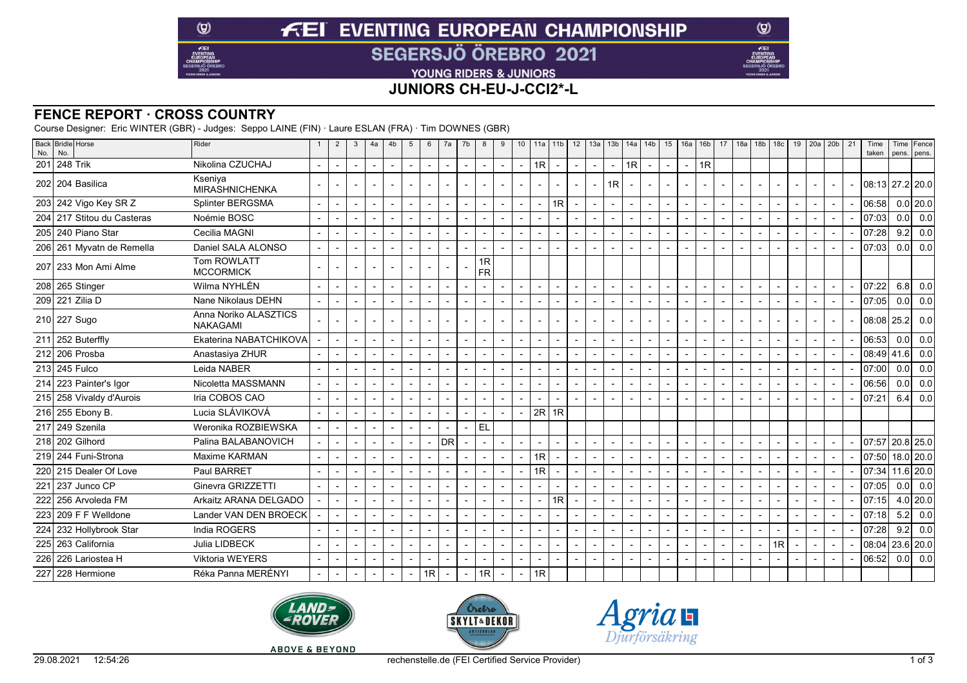# **FEI EVENTING EUROPEAN CHAMPIONSHIP SEGERSJÖ ÖREBRO 2021**

YOUNG RIDERS & JUNIORS

## **JUNIORS CH-EU-J-CCI2\*-L**

#### **FENCE REPORT · CROSS COUNTRY**

 $\circledcirc$ 

 $E$ EI

Course Designer: Eric WINTER (GBR) - Judges: Seppo LAINE (FIN) · Laure ESLAN (FRA) · Tim DOWNES (GBR)

| 201<br>248 Trik<br>Nikolina CZUCHAJ<br>1R<br>1R<br>1R<br>$\blacksquare$<br>$\sim$<br>$\blacksquare$<br>$\overline{\phantom{a}}$<br>$\blacksquare$<br>$\blacksquare$<br>$\sim$<br>$\overline{\phantom{a}}$<br>$\overline{\phantom{a}}$<br>$\sim$<br>$\sim$<br>$\sim$<br>$\blacksquare$<br>$\blacksquare$<br>$\overline{\phantom{a}}$<br>Kseniya<br>202 204 Basilica<br>1R<br>08:13 27.2 20.0<br>$\overline{\phantom{a}}$<br>$\overline{\phantom{a}}$<br>$\overline{\phantom{a}}$<br>$\overline{\phantom{a}}$<br>$\sim$<br><b>MIRASHNICHENKA</b><br>$0.0$ 20.0<br>203 242 Vigo Key SR Z<br>Splinter BERGSMA<br>1R<br>06:58<br>$\sim$<br>$\blacksquare$<br>$\overline{\phantom{a}}$<br>$\overline{\phantom{a}}$<br>$\blacksquare$<br>217 Stitou du Casteras<br>Noémie BOSC<br>0.0<br>204<br>07:03<br>$\blacksquare$<br>$\overline{\phantom{a}}$<br>$\overline{\phantom{a}}$<br>$\overline{\phantom{a}}$<br>$\overline{\phantom{a}}$<br>$\sim$<br>$\blacksquare$<br>9.2<br>07:28<br>205 240 Piano Star<br>Cecilia MAGNI<br>$\overline{a}$<br>$\sim$<br>$\blacksquare$<br>0.0 <sub>l</sub><br>206 261 Myvatn de Remella<br>Daniel SALA ALONSO<br>07:03<br>$\sim$<br>$\blacksquare$<br>$\overline{\phantom{a}}$<br>$\overline{\phantom{a}}$<br>$\overline{\phantom{a}}$<br>$\sim$<br>$\overline{a}$<br>Tom ROWLATT<br>1R<br>207 233 Mon Ami Alme<br><b>FR</b><br><b>MCCORMICK</b><br>Wilma NYHLÉN<br>208 265 Stinger<br>07:22<br>6.8<br>$\sim$<br>$\sim$<br>$\overline{a}$<br>$\blacksquare$<br>$\sim$<br>$\sim$<br>$\blacksquare$<br>$\sim$<br>$\blacksquare$<br>$\sim$<br>209 221 Zilia D<br>Nane Nikolaus DEHN<br>07:05<br>0.0 <sub>l</sub><br>$\overline{\phantom{a}}$<br>$\sim$<br>$\overline{\phantom{a}}$<br>$\overline{a}$<br>Anna Noriko ALASZTICS<br>210 227 Sugo<br>08:08<br>25.2<br>$\blacksquare$<br>$\overline{\phantom{a}}$<br>$\blacksquare$<br>٠<br>$\blacksquare$<br>$\overline{\phantom{a}}$<br>$\overline{\phantom{a}}$<br>$\sim$<br><b>NAKAGAMI</b><br>06:53<br>0.0<br>252 Buterffly<br>Ekaterina NABATCHIKOVA<br>211<br>$\sim$<br>$\sim$<br>$\sim$<br>$\overline{a}$<br>$\overline{\phantom{a}}$<br>$\sim$<br>212<br>206 Prosba<br>08:49<br>41.6<br>Anastasiya ZHUR<br>$\overline{\phantom{a}}$<br>$\overline{\phantom{a}}$<br>$\overline{\phantom{a}}$<br>$\overline{\phantom{a}}$<br>$\blacksquare$<br>$\overline{\phantom{a}}$<br>$\blacksquare$<br>213 245 Fulco<br>07:00<br>0.0<br>Leida NABER<br>$\sim$<br>$\sim$<br>$\overline{a}$<br>$\overline{\phantom{a}}$<br>$\overline{\phantom{a}}$<br>$\overline{\phantom{a}}$<br>$\blacksquare$<br>$\overline{a}$<br>214<br>223 Painter's Igor<br>Nicoletta MASSMANN<br>0.0 <sub>l</sub><br>06:56<br>$\overline{\phantom{a}}$<br>$\overline{\phantom{a}}$<br>$\overline{a}$<br>215 258 Vivaldy d'Aurois<br>Iria COBOS CAO<br>07:21<br>6.4<br>$\sim$<br>$\sim$<br>$\sim$<br>$\overline{a}$<br>$\overline{a}$<br>$\overline{\phantom{a}}$<br>$\overline{a}$<br>$\sim$<br>$\overline{\phantom{a}}$<br>$\blacksquare$<br>Lucia SLÁVIKOVÁ<br>$2R$ 1R<br>216 255 Ebony B.<br>$\overline{\phantom{a}}$<br>$\blacksquare$<br>217 249 Szenila<br>Weronika ROZBIEWSKA<br><b>EL</b><br>$\overline{\phantom{a}}$<br>$\blacksquare$<br>$\blacksquare$<br>$\blacksquare$<br>218 202 Gilhord<br>Palina BALABANOVICH<br>Idr<br>$20.8$ 25.0<br>07:57<br>$\overline{\phantom{a}}$<br>$\blacksquare$<br>$\overline{\phantom{a}}$<br>07:50 18.0 20.0<br>1R<br>219 244 Funi-Strona<br>Maxime KARMAN<br>$\overline{\phantom{a}}$<br>$\overline{\phantom{a}}$<br>$\blacksquare$<br>$\blacksquare$<br>$\overline{\phantom{a}}$<br>$\blacksquare$<br>$\blacksquare$<br>$11.6$ 20.0<br>1R<br>07:34<br>220 215 Dealer Of Love<br>Paul BARRET<br>$\overline{a}$<br>$\overline{\phantom{a}}$<br>$\overline{\phantom{0}}$<br>$\blacksquare$<br>221<br>237 Junco CP<br>Ginevra GRIZZETTI<br>07:05<br>$0.0$ 0.0<br>$\sim$<br>$\blacksquare$<br>$\overline{\phantom{a}}$<br>$\overline{\phantom{a}}$<br>$\overline{\phantom{a}}$<br>$\overline{\phantom{a}}$<br>$\blacksquare$<br>$\blacksquare$<br>$\blacksquare$<br>$\overline{\phantom{a}}$<br>$\blacksquare$<br>$\overline{\phantom{a}}$<br>$\overline{\phantom{a}}$<br>$\overline{\phantom{a}}$<br>$\overline{\phantom{a}}$<br>$\blacksquare$<br>$\overline{\phantom{a}}$<br>l 256 Arvoleda FM<br>$4.0$   20.0<br>222<br>Arkaitz ARANA DELGADO<br>1R<br>07:15<br>$\overline{\phantom{a}}$<br>$\overline{\phantom{a}}$<br>$\blacksquare$<br>$\blacksquare$<br>$\overline{a}$<br>07:18<br>5.2<br>223<br>209 F F Welldone<br>Lander VAN DEN BROECK<br>$\overline{\phantom{a}}$<br>$\blacksquare$<br>$\overline{\phantom{a}}$<br>07:28<br>9.2<br>224<br>232 Hollybrook Star<br>India ROGERS<br>$\overline{\phantom{a}}$<br>$\overline{\phantom{a}}$<br>$\blacksquare$<br>$\overline{\phantom{a}}$<br>$\overline{\phantom{a}}$<br>$\overline{\phantom{a}}$<br>$\overline{\phantom{a}}$<br>$\blacksquare$<br>$\overline{\phantom{a}}$<br>1R<br>225 263 California<br>08:04<br>23.6 20.0<br>Julia LIDBECK<br>$\blacksquare$<br>$\overline{\phantom{a}}$<br>$\overline{\phantom{a}}$<br>$\overline{\phantom{a}}$<br>$\blacksquare$<br>$\blacksquare$<br>$\overline{\phantom{a}}$<br>$\blacksquare$<br><b>Viktoria WEYERS</b><br>06:52<br>0.0<br>226 226 Lariostea H<br>$\blacksquare$<br>$\overline{\phantom{a}}$<br>$\overline{\phantom{a}}$<br>$\overline{a}$<br>Réka Panna MERÉNYI<br>1R <sub>l</sub><br>1R<br>227<br>1228 Hermione<br>1R<br>$\sim$<br>$\sim$<br>$\blacksquare$<br>$\overline{\phantom{a}}$ | No. | Back Bridle Horse<br>No. | Rider | $\overline{2}$ | $\mathbf{3}$ | 4a | 4b | 5 | 6 | 7a | 7b | 8 | 9 |  |  |  |  |  |  |  |  | 10   11a   11b   12   13a   13b   14a   14b   15   16a   16b   17   18a   18b   18c   19   20a   20b   21 |  | Time<br>taken | Time Fence<br>pens. pens. |
|--------------------------------------------------------------------------------------------------------------------------------------------------------------------------------------------------------------------------------------------------------------------------------------------------------------------------------------------------------------------------------------------------------------------------------------------------------------------------------------------------------------------------------------------------------------------------------------------------------------------------------------------------------------------------------------------------------------------------------------------------------------------------------------------------------------------------------------------------------------------------------------------------------------------------------------------------------------------------------------------------------------------------------------------------------------------------------------------------------------------------------------------------------------------------------------------------------------------------------------------------------------------------------------------------------------------------------------------------------------------------------------------------------------------------------------------------------------------------------------------------------------------------------------------------------------------------------------------------------------------------------------------------------------------------------------------------------------------------------------------------------------------------------------------------------------------------------------------------------------------------------------------------------------------------------------------------------------------------------------------------------------------------------------------------------------------------------------------------------------------------------------------------------------------------------------------------------------------------------------------------------------------------------------------------------------------------------------------------------------------------------------------------------------------------------------------------------------------------------------------------------------------------------------------------------------------------------------------------------------------------------------------------------------------------------------------------------------------------------------------------------------------------------------------------------------------------------------------------------------------------------------------------------------------------------------------------------------------------------------------------------------------------------------------------------------------------------------------------------------------------------------------------------------------------------------------------------------------------------------------------------------------------------------------------------------------------------------------------------------------------------------------------------------------------------------------------------------------------------------------------------------------------------------------------------------------------------------------------------------------------------------------------------------------------------------------------------------------------------------------------------------------------------------------------------------------------------------------------------------------------------------------------------------------------------------------------------------------------------------------------------------------------------------------------------------------------------------------------------------------------------------------------------------------------------------------------------------------------------------------------------------------------------------------------------------------------------------------------------------------------------------------------------------------------------------------------------------------------------------------------------------------------------------------------------------------------------------------------------------------------------------------------------------------------------------------------------------------------------------------------------------------------------------------------------------------------------------------------------------------------------------------------------------------------------------------------------------------------------------------------------------------------------------------------------------------------------------------------------------------------------------------------------------------------------------------------------------------------------------------------------------------------------------------------------------------------------------------------------------------------------------------------------------------------------------------------------------------------------------------|-----|--------------------------|-------|----------------|--------------|----|----|---|---|----|----|---|---|--|--|--|--|--|--|--|--|-----------------------------------------------------------------------------------------------------------|--|---------------|---------------------------|
|                                                                                                                                                                                                                                                                                                                                                                                                                                                                                                                                                                                                                                                                                                                                                                                                                                                                                                                                                                                                                                                                                                                                                                                                                                                                                                                                                                                                                                                                                                                                                                                                                                                                                                                                                                                                                                                                                                                                                                                                                                                                                                                                                                                                                                                                                                                                                                                                                                                                                                                                                                                                                                                                                                                                                                                                                                                                                                                                                                                                                                                                                                                                                                                                                                                                                                                                                                                                                                                                                                                                                                                                                                                                                                                                                                                                                                                                                                                                                                                                                                                                                                                                                                                                                                                                                                                                                                                                                                                                                                                                                                                                                                                                                                                                                                                                                                                                                                                                                                                                                                                                                                                                                                                                                                                                                                                                                                                                                                                                                            |     |                          |       |                |              |    |    |   |   |    |    |   |   |  |  |  |  |  |  |  |  |                                                                                                           |  |               |                           |
|                                                                                                                                                                                                                                                                                                                                                                                                                                                                                                                                                                                                                                                                                                                                                                                                                                                                                                                                                                                                                                                                                                                                                                                                                                                                                                                                                                                                                                                                                                                                                                                                                                                                                                                                                                                                                                                                                                                                                                                                                                                                                                                                                                                                                                                                                                                                                                                                                                                                                                                                                                                                                                                                                                                                                                                                                                                                                                                                                                                                                                                                                                                                                                                                                                                                                                                                                                                                                                                                                                                                                                                                                                                                                                                                                                                                                                                                                                                                                                                                                                                                                                                                                                                                                                                                                                                                                                                                                                                                                                                                                                                                                                                                                                                                                                                                                                                                                                                                                                                                                                                                                                                                                                                                                                                                                                                                                                                                                                                                                            |     |                          |       |                |              |    |    |   |   |    |    |   |   |  |  |  |  |  |  |  |  |                                                                                                           |  |               |                           |
|                                                                                                                                                                                                                                                                                                                                                                                                                                                                                                                                                                                                                                                                                                                                                                                                                                                                                                                                                                                                                                                                                                                                                                                                                                                                                                                                                                                                                                                                                                                                                                                                                                                                                                                                                                                                                                                                                                                                                                                                                                                                                                                                                                                                                                                                                                                                                                                                                                                                                                                                                                                                                                                                                                                                                                                                                                                                                                                                                                                                                                                                                                                                                                                                                                                                                                                                                                                                                                                                                                                                                                                                                                                                                                                                                                                                                                                                                                                                                                                                                                                                                                                                                                                                                                                                                                                                                                                                                                                                                                                                                                                                                                                                                                                                                                                                                                                                                                                                                                                                                                                                                                                                                                                                                                                                                                                                                                                                                                                                                            |     |                          |       |                |              |    |    |   |   |    |    |   |   |  |  |  |  |  |  |  |  |                                                                                                           |  |               |                           |
|                                                                                                                                                                                                                                                                                                                                                                                                                                                                                                                                                                                                                                                                                                                                                                                                                                                                                                                                                                                                                                                                                                                                                                                                                                                                                                                                                                                                                                                                                                                                                                                                                                                                                                                                                                                                                                                                                                                                                                                                                                                                                                                                                                                                                                                                                                                                                                                                                                                                                                                                                                                                                                                                                                                                                                                                                                                                                                                                                                                                                                                                                                                                                                                                                                                                                                                                                                                                                                                                                                                                                                                                                                                                                                                                                                                                                                                                                                                                                                                                                                                                                                                                                                                                                                                                                                                                                                                                                                                                                                                                                                                                                                                                                                                                                                                                                                                                                                                                                                                                                                                                                                                                                                                                                                                                                                                                                                                                                                                                                            |     |                          |       |                |              |    |    |   |   |    |    |   |   |  |  |  |  |  |  |  |  |                                                                                                           |  |               | 0.0                       |
|                                                                                                                                                                                                                                                                                                                                                                                                                                                                                                                                                                                                                                                                                                                                                                                                                                                                                                                                                                                                                                                                                                                                                                                                                                                                                                                                                                                                                                                                                                                                                                                                                                                                                                                                                                                                                                                                                                                                                                                                                                                                                                                                                                                                                                                                                                                                                                                                                                                                                                                                                                                                                                                                                                                                                                                                                                                                                                                                                                                                                                                                                                                                                                                                                                                                                                                                                                                                                                                                                                                                                                                                                                                                                                                                                                                                                                                                                                                                                                                                                                                                                                                                                                                                                                                                                                                                                                                                                                                                                                                                                                                                                                                                                                                                                                                                                                                                                                                                                                                                                                                                                                                                                                                                                                                                                                                                                                                                                                                                                            |     |                          |       |                |              |    |    |   |   |    |    |   |   |  |  |  |  |  |  |  |  |                                                                                                           |  |               | 0.0                       |
|                                                                                                                                                                                                                                                                                                                                                                                                                                                                                                                                                                                                                                                                                                                                                                                                                                                                                                                                                                                                                                                                                                                                                                                                                                                                                                                                                                                                                                                                                                                                                                                                                                                                                                                                                                                                                                                                                                                                                                                                                                                                                                                                                                                                                                                                                                                                                                                                                                                                                                                                                                                                                                                                                                                                                                                                                                                                                                                                                                                                                                                                                                                                                                                                                                                                                                                                                                                                                                                                                                                                                                                                                                                                                                                                                                                                                                                                                                                                                                                                                                                                                                                                                                                                                                                                                                                                                                                                                                                                                                                                                                                                                                                                                                                                                                                                                                                                                                                                                                                                                                                                                                                                                                                                                                                                                                                                                                                                                                                                                            |     |                          |       |                |              |    |    |   |   |    |    |   |   |  |  |  |  |  |  |  |  |                                                                                                           |  |               | 0.0                       |
|                                                                                                                                                                                                                                                                                                                                                                                                                                                                                                                                                                                                                                                                                                                                                                                                                                                                                                                                                                                                                                                                                                                                                                                                                                                                                                                                                                                                                                                                                                                                                                                                                                                                                                                                                                                                                                                                                                                                                                                                                                                                                                                                                                                                                                                                                                                                                                                                                                                                                                                                                                                                                                                                                                                                                                                                                                                                                                                                                                                                                                                                                                                                                                                                                                                                                                                                                                                                                                                                                                                                                                                                                                                                                                                                                                                                                                                                                                                                                                                                                                                                                                                                                                                                                                                                                                                                                                                                                                                                                                                                                                                                                                                                                                                                                                                                                                                                                                                                                                                                                                                                                                                                                                                                                                                                                                                                                                                                                                                                                            |     |                          |       |                |              |    |    |   |   |    |    |   |   |  |  |  |  |  |  |  |  |                                                                                                           |  |               |                           |
|                                                                                                                                                                                                                                                                                                                                                                                                                                                                                                                                                                                                                                                                                                                                                                                                                                                                                                                                                                                                                                                                                                                                                                                                                                                                                                                                                                                                                                                                                                                                                                                                                                                                                                                                                                                                                                                                                                                                                                                                                                                                                                                                                                                                                                                                                                                                                                                                                                                                                                                                                                                                                                                                                                                                                                                                                                                                                                                                                                                                                                                                                                                                                                                                                                                                                                                                                                                                                                                                                                                                                                                                                                                                                                                                                                                                                                                                                                                                                                                                                                                                                                                                                                                                                                                                                                                                                                                                                                                                                                                                                                                                                                                                                                                                                                                                                                                                                                                                                                                                                                                                                                                                                                                                                                                                                                                                                                                                                                                                                            |     |                          |       |                |              |    |    |   |   |    |    |   |   |  |  |  |  |  |  |  |  |                                                                                                           |  |               | 0.0                       |
|                                                                                                                                                                                                                                                                                                                                                                                                                                                                                                                                                                                                                                                                                                                                                                                                                                                                                                                                                                                                                                                                                                                                                                                                                                                                                                                                                                                                                                                                                                                                                                                                                                                                                                                                                                                                                                                                                                                                                                                                                                                                                                                                                                                                                                                                                                                                                                                                                                                                                                                                                                                                                                                                                                                                                                                                                                                                                                                                                                                                                                                                                                                                                                                                                                                                                                                                                                                                                                                                                                                                                                                                                                                                                                                                                                                                                                                                                                                                                                                                                                                                                                                                                                                                                                                                                                                                                                                                                                                                                                                                                                                                                                                                                                                                                                                                                                                                                                                                                                                                                                                                                                                                                                                                                                                                                                                                                                                                                                                                                            |     |                          |       |                |              |    |    |   |   |    |    |   |   |  |  |  |  |  |  |  |  |                                                                                                           |  |               | 0.0                       |
|                                                                                                                                                                                                                                                                                                                                                                                                                                                                                                                                                                                                                                                                                                                                                                                                                                                                                                                                                                                                                                                                                                                                                                                                                                                                                                                                                                                                                                                                                                                                                                                                                                                                                                                                                                                                                                                                                                                                                                                                                                                                                                                                                                                                                                                                                                                                                                                                                                                                                                                                                                                                                                                                                                                                                                                                                                                                                                                                                                                                                                                                                                                                                                                                                                                                                                                                                                                                                                                                                                                                                                                                                                                                                                                                                                                                                                                                                                                                                                                                                                                                                                                                                                                                                                                                                                                                                                                                                                                                                                                                                                                                                                                                                                                                                                                                                                                                                                                                                                                                                                                                                                                                                                                                                                                                                                                                                                                                                                                                                            |     |                          |       |                |              |    |    |   |   |    |    |   |   |  |  |  |  |  |  |  |  |                                                                                                           |  |               | 0.0                       |
|                                                                                                                                                                                                                                                                                                                                                                                                                                                                                                                                                                                                                                                                                                                                                                                                                                                                                                                                                                                                                                                                                                                                                                                                                                                                                                                                                                                                                                                                                                                                                                                                                                                                                                                                                                                                                                                                                                                                                                                                                                                                                                                                                                                                                                                                                                                                                                                                                                                                                                                                                                                                                                                                                                                                                                                                                                                                                                                                                                                                                                                                                                                                                                                                                                                                                                                                                                                                                                                                                                                                                                                                                                                                                                                                                                                                                                                                                                                                                                                                                                                                                                                                                                                                                                                                                                                                                                                                                                                                                                                                                                                                                                                                                                                                                                                                                                                                                                                                                                                                                                                                                                                                                                                                                                                                                                                                                                                                                                                                                            |     |                          |       |                |              |    |    |   |   |    |    |   |   |  |  |  |  |  |  |  |  |                                                                                                           |  |               | 0.0                       |
|                                                                                                                                                                                                                                                                                                                                                                                                                                                                                                                                                                                                                                                                                                                                                                                                                                                                                                                                                                                                                                                                                                                                                                                                                                                                                                                                                                                                                                                                                                                                                                                                                                                                                                                                                                                                                                                                                                                                                                                                                                                                                                                                                                                                                                                                                                                                                                                                                                                                                                                                                                                                                                                                                                                                                                                                                                                                                                                                                                                                                                                                                                                                                                                                                                                                                                                                                                                                                                                                                                                                                                                                                                                                                                                                                                                                                                                                                                                                                                                                                                                                                                                                                                                                                                                                                                                                                                                                                                                                                                                                                                                                                                                                                                                                                                                                                                                                                                                                                                                                                                                                                                                                                                                                                                                                                                                                                                                                                                                                                            |     |                          |       |                |              |    |    |   |   |    |    |   |   |  |  |  |  |  |  |  |  |                                                                                                           |  |               | 0.0                       |
|                                                                                                                                                                                                                                                                                                                                                                                                                                                                                                                                                                                                                                                                                                                                                                                                                                                                                                                                                                                                                                                                                                                                                                                                                                                                                                                                                                                                                                                                                                                                                                                                                                                                                                                                                                                                                                                                                                                                                                                                                                                                                                                                                                                                                                                                                                                                                                                                                                                                                                                                                                                                                                                                                                                                                                                                                                                                                                                                                                                                                                                                                                                                                                                                                                                                                                                                                                                                                                                                                                                                                                                                                                                                                                                                                                                                                                                                                                                                                                                                                                                                                                                                                                                                                                                                                                                                                                                                                                                                                                                                                                                                                                                                                                                                                                                                                                                                                                                                                                                                                                                                                                                                                                                                                                                                                                                                                                                                                                                                                            |     |                          |       |                |              |    |    |   |   |    |    |   |   |  |  |  |  |  |  |  |  |                                                                                                           |  |               | 0.0                       |
|                                                                                                                                                                                                                                                                                                                                                                                                                                                                                                                                                                                                                                                                                                                                                                                                                                                                                                                                                                                                                                                                                                                                                                                                                                                                                                                                                                                                                                                                                                                                                                                                                                                                                                                                                                                                                                                                                                                                                                                                                                                                                                                                                                                                                                                                                                                                                                                                                                                                                                                                                                                                                                                                                                                                                                                                                                                                                                                                                                                                                                                                                                                                                                                                                                                                                                                                                                                                                                                                                                                                                                                                                                                                                                                                                                                                                                                                                                                                                                                                                                                                                                                                                                                                                                                                                                                                                                                                                                                                                                                                                                                                                                                                                                                                                                                                                                                                                                                                                                                                                                                                                                                                                                                                                                                                                                                                                                                                                                                                                            |     |                          |       |                |              |    |    |   |   |    |    |   |   |  |  |  |  |  |  |  |  |                                                                                                           |  |               | 0.0                       |
|                                                                                                                                                                                                                                                                                                                                                                                                                                                                                                                                                                                                                                                                                                                                                                                                                                                                                                                                                                                                                                                                                                                                                                                                                                                                                                                                                                                                                                                                                                                                                                                                                                                                                                                                                                                                                                                                                                                                                                                                                                                                                                                                                                                                                                                                                                                                                                                                                                                                                                                                                                                                                                                                                                                                                                                                                                                                                                                                                                                                                                                                                                                                                                                                                                                                                                                                                                                                                                                                                                                                                                                                                                                                                                                                                                                                                                                                                                                                                                                                                                                                                                                                                                                                                                                                                                                                                                                                                                                                                                                                                                                                                                                                                                                                                                                                                                                                                                                                                                                                                                                                                                                                                                                                                                                                                                                                                                                                                                                                                            |     |                          |       |                |              |    |    |   |   |    |    |   |   |  |  |  |  |  |  |  |  |                                                                                                           |  |               | 0.0                       |
|                                                                                                                                                                                                                                                                                                                                                                                                                                                                                                                                                                                                                                                                                                                                                                                                                                                                                                                                                                                                                                                                                                                                                                                                                                                                                                                                                                                                                                                                                                                                                                                                                                                                                                                                                                                                                                                                                                                                                                                                                                                                                                                                                                                                                                                                                                                                                                                                                                                                                                                                                                                                                                                                                                                                                                                                                                                                                                                                                                                                                                                                                                                                                                                                                                                                                                                                                                                                                                                                                                                                                                                                                                                                                                                                                                                                                                                                                                                                                                                                                                                                                                                                                                                                                                                                                                                                                                                                                                                                                                                                                                                                                                                                                                                                                                                                                                                                                                                                                                                                                                                                                                                                                                                                                                                                                                                                                                                                                                                                                            |     |                          |       |                |              |    |    |   |   |    |    |   |   |  |  |  |  |  |  |  |  |                                                                                                           |  |               |                           |
|                                                                                                                                                                                                                                                                                                                                                                                                                                                                                                                                                                                                                                                                                                                                                                                                                                                                                                                                                                                                                                                                                                                                                                                                                                                                                                                                                                                                                                                                                                                                                                                                                                                                                                                                                                                                                                                                                                                                                                                                                                                                                                                                                                                                                                                                                                                                                                                                                                                                                                                                                                                                                                                                                                                                                                                                                                                                                                                                                                                                                                                                                                                                                                                                                                                                                                                                                                                                                                                                                                                                                                                                                                                                                                                                                                                                                                                                                                                                                                                                                                                                                                                                                                                                                                                                                                                                                                                                                                                                                                                                                                                                                                                                                                                                                                                                                                                                                                                                                                                                                                                                                                                                                                                                                                                                                                                                                                                                                                                                                            |     |                          |       |                |              |    |    |   |   |    |    |   |   |  |  |  |  |  |  |  |  |                                                                                                           |  |               |                           |
|                                                                                                                                                                                                                                                                                                                                                                                                                                                                                                                                                                                                                                                                                                                                                                                                                                                                                                                                                                                                                                                                                                                                                                                                                                                                                                                                                                                                                                                                                                                                                                                                                                                                                                                                                                                                                                                                                                                                                                                                                                                                                                                                                                                                                                                                                                                                                                                                                                                                                                                                                                                                                                                                                                                                                                                                                                                                                                                                                                                                                                                                                                                                                                                                                                                                                                                                                                                                                                                                                                                                                                                                                                                                                                                                                                                                                                                                                                                                                                                                                                                                                                                                                                                                                                                                                                                                                                                                                                                                                                                                                                                                                                                                                                                                                                                                                                                                                                                                                                                                                                                                                                                                                                                                                                                                                                                                                                                                                                                                                            |     |                          |       |                |              |    |    |   |   |    |    |   |   |  |  |  |  |  |  |  |  |                                                                                                           |  |               |                           |
|                                                                                                                                                                                                                                                                                                                                                                                                                                                                                                                                                                                                                                                                                                                                                                                                                                                                                                                                                                                                                                                                                                                                                                                                                                                                                                                                                                                                                                                                                                                                                                                                                                                                                                                                                                                                                                                                                                                                                                                                                                                                                                                                                                                                                                                                                                                                                                                                                                                                                                                                                                                                                                                                                                                                                                                                                                                                                                                                                                                                                                                                                                                                                                                                                                                                                                                                                                                                                                                                                                                                                                                                                                                                                                                                                                                                                                                                                                                                                                                                                                                                                                                                                                                                                                                                                                                                                                                                                                                                                                                                                                                                                                                                                                                                                                                                                                                                                                                                                                                                                                                                                                                                                                                                                                                                                                                                                                                                                                                                                            |     |                          |       |                |              |    |    |   |   |    |    |   |   |  |  |  |  |  |  |  |  |                                                                                                           |  |               |                           |
|                                                                                                                                                                                                                                                                                                                                                                                                                                                                                                                                                                                                                                                                                                                                                                                                                                                                                                                                                                                                                                                                                                                                                                                                                                                                                                                                                                                                                                                                                                                                                                                                                                                                                                                                                                                                                                                                                                                                                                                                                                                                                                                                                                                                                                                                                                                                                                                                                                                                                                                                                                                                                                                                                                                                                                                                                                                                                                                                                                                                                                                                                                                                                                                                                                                                                                                                                                                                                                                                                                                                                                                                                                                                                                                                                                                                                                                                                                                                                                                                                                                                                                                                                                                                                                                                                                                                                                                                                                                                                                                                                                                                                                                                                                                                                                                                                                                                                                                                                                                                                                                                                                                                                                                                                                                                                                                                                                                                                                                                                            |     |                          |       |                |              |    |    |   |   |    |    |   |   |  |  |  |  |  |  |  |  |                                                                                                           |  |               |                           |
|                                                                                                                                                                                                                                                                                                                                                                                                                                                                                                                                                                                                                                                                                                                                                                                                                                                                                                                                                                                                                                                                                                                                                                                                                                                                                                                                                                                                                                                                                                                                                                                                                                                                                                                                                                                                                                                                                                                                                                                                                                                                                                                                                                                                                                                                                                                                                                                                                                                                                                                                                                                                                                                                                                                                                                                                                                                                                                                                                                                                                                                                                                                                                                                                                                                                                                                                                                                                                                                                                                                                                                                                                                                                                                                                                                                                                                                                                                                                                                                                                                                                                                                                                                                                                                                                                                                                                                                                                                                                                                                                                                                                                                                                                                                                                                                                                                                                                                                                                                                                                                                                                                                                                                                                                                                                                                                                                                                                                                                                                            |     |                          |       |                |              |    |    |   |   |    |    |   |   |  |  |  |  |  |  |  |  |                                                                                                           |  |               |                           |
|                                                                                                                                                                                                                                                                                                                                                                                                                                                                                                                                                                                                                                                                                                                                                                                                                                                                                                                                                                                                                                                                                                                                                                                                                                                                                                                                                                                                                                                                                                                                                                                                                                                                                                                                                                                                                                                                                                                                                                                                                                                                                                                                                                                                                                                                                                                                                                                                                                                                                                                                                                                                                                                                                                                                                                                                                                                                                                                                                                                                                                                                                                                                                                                                                                                                                                                                                                                                                                                                                                                                                                                                                                                                                                                                                                                                                                                                                                                                                                                                                                                                                                                                                                                                                                                                                                                                                                                                                                                                                                                                                                                                                                                                                                                                                                                                                                                                                                                                                                                                                                                                                                                                                                                                                                                                                                                                                                                                                                                                                            |     |                          |       |                |              |    |    |   |   |    |    |   |   |  |  |  |  |  |  |  |  |                                                                                                           |  |               |                           |
|                                                                                                                                                                                                                                                                                                                                                                                                                                                                                                                                                                                                                                                                                                                                                                                                                                                                                                                                                                                                                                                                                                                                                                                                                                                                                                                                                                                                                                                                                                                                                                                                                                                                                                                                                                                                                                                                                                                                                                                                                                                                                                                                                                                                                                                                                                                                                                                                                                                                                                                                                                                                                                                                                                                                                                                                                                                                                                                                                                                                                                                                                                                                                                                                                                                                                                                                                                                                                                                                                                                                                                                                                                                                                                                                                                                                                                                                                                                                                                                                                                                                                                                                                                                                                                                                                                                                                                                                                                                                                                                                                                                                                                                                                                                                                                                                                                                                                                                                                                                                                                                                                                                                                                                                                                                                                                                                                                                                                                                                                            |     |                          |       |                |              |    |    |   |   |    |    |   |   |  |  |  |  |  |  |  |  |                                                                                                           |  |               | 0.0                       |
|                                                                                                                                                                                                                                                                                                                                                                                                                                                                                                                                                                                                                                                                                                                                                                                                                                                                                                                                                                                                                                                                                                                                                                                                                                                                                                                                                                                                                                                                                                                                                                                                                                                                                                                                                                                                                                                                                                                                                                                                                                                                                                                                                                                                                                                                                                                                                                                                                                                                                                                                                                                                                                                                                                                                                                                                                                                                                                                                                                                                                                                                                                                                                                                                                                                                                                                                                                                                                                                                                                                                                                                                                                                                                                                                                                                                                                                                                                                                                                                                                                                                                                                                                                                                                                                                                                                                                                                                                                                                                                                                                                                                                                                                                                                                                                                                                                                                                                                                                                                                                                                                                                                                                                                                                                                                                                                                                                                                                                                                                            |     |                          |       |                |              |    |    |   |   |    |    |   |   |  |  |  |  |  |  |  |  |                                                                                                           |  |               | 0.0                       |
|                                                                                                                                                                                                                                                                                                                                                                                                                                                                                                                                                                                                                                                                                                                                                                                                                                                                                                                                                                                                                                                                                                                                                                                                                                                                                                                                                                                                                                                                                                                                                                                                                                                                                                                                                                                                                                                                                                                                                                                                                                                                                                                                                                                                                                                                                                                                                                                                                                                                                                                                                                                                                                                                                                                                                                                                                                                                                                                                                                                                                                                                                                                                                                                                                                                                                                                                                                                                                                                                                                                                                                                                                                                                                                                                                                                                                                                                                                                                                                                                                                                                                                                                                                                                                                                                                                                                                                                                                                                                                                                                                                                                                                                                                                                                                                                                                                                                                                                                                                                                                                                                                                                                                                                                                                                                                                                                                                                                                                                                                            |     |                          |       |                |              |    |    |   |   |    |    |   |   |  |  |  |  |  |  |  |  |                                                                                                           |  |               |                           |
|                                                                                                                                                                                                                                                                                                                                                                                                                                                                                                                                                                                                                                                                                                                                                                                                                                                                                                                                                                                                                                                                                                                                                                                                                                                                                                                                                                                                                                                                                                                                                                                                                                                                                                                                                                                                                                                                                                                                                                                                                                                                                                                                                                                                                                                                                                                                                                                                                                                                                                                                                                                                                                                                                                                                                                                                                                                                                                                                                                                                                                                                                                                                                                                                                                                                                                                                                                                                                                                                                                                                                                                                                                                                                                                                                                                                                                                                                                                                                                                                                                                                                                                                                                                                                                                                                                                                                                                                                                                                                                                                                                                                                                                                                                                                                                                                                                                                                                                                                                                                                                                                                                                                                                                                                                                                                                                                                                                                                                                                                            |     |                          |       |                |              |    |    |   |   |    |    |   |   |  |  |  |  |  |  |  |  |                                                                                                           |  |               | 0.0                       |
|                                                                                                                                                                                                                                                                                                                                                                                                                                                                                                                                                                                                                                                                                                                                                                                                                                                                                                                                                                                                                                                                                                                                                                                                                                                                                                                                                                                                                                                                                                                                                                                                                                                                                                                                                                                                                                                                                                                                                                                                                                                                                                                                                                                                                                                                                                                                                                                                                                                                                                                                                                                                                                                                                                                                                                                                                                                                                                                                                                                                                                                                                                                                                                                                                                                                                                                                                                                                                                                                                                                                                                                                                                                                                                                                                                                                                                                                                                                                                                                                                                                                                                                                                                                                                                                                                                                                                                                                                                                                                                                                                                                                                                                                                                                                                                                                                                                                                                                                                                                                                                                                                                                                                                                                                                                                                                                                                                                                                                                                                            |     |                          |       |                |              |    |    |   |   |    |    |   |   |  |  |  |  |  |  |  |  |                                                                                                           |  |               |                           |







 $\circledcirc$ 

Æ

**ABOVE & BEYOND**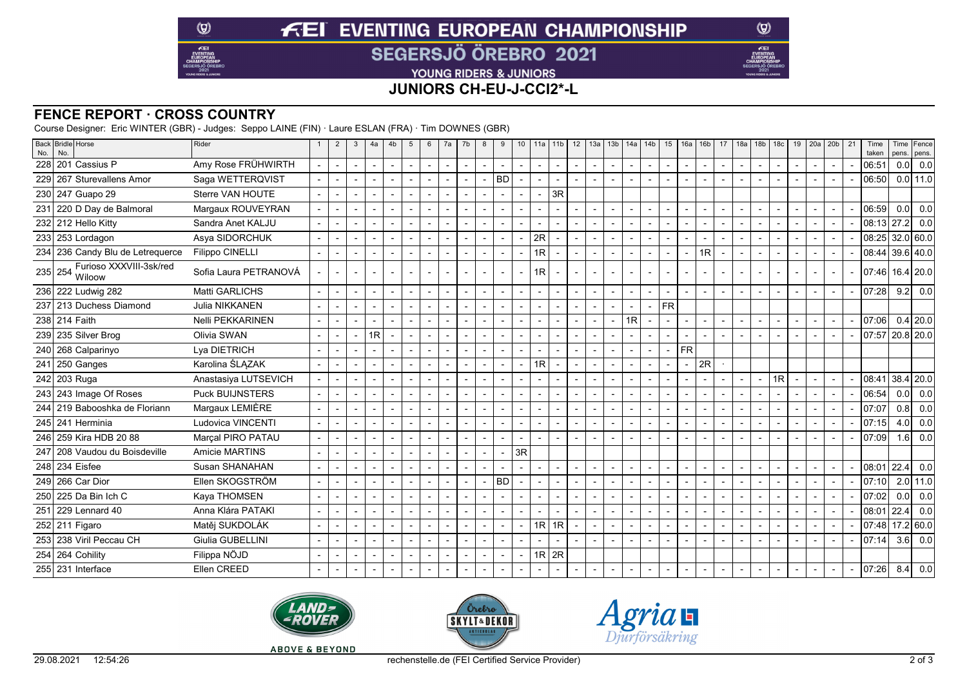# **FEI EVENTING EUROPEAN CHAMPIONSHIP SEGERSJÖ ÖREBRO 2021**

YOUNG RIDERS & JUNIORS

## **JUNIORS CH-EU-J-CCI2\*-L**

### **FENCE REPORT · CROSS COUNTRY**

 $\circledcirc$ 

 $E$ EI

Course Designer: Eric WINTER (GBR) - Judges: Seppo LAINE (FIN) · Laure ESLAN (FRA) · Tim DOWNES (GBR)

| No.        | Back Bridle Horse<br>No.                     | Rider                  | $\overline{2}$           | 3                        | 4a                       | 4b                       | 5                        | 6              | 7a             | 7b | 8              | 9              | 10                       |                 | $11a$   11b              | 12             | 13a                      | 13b                      | 14a                      | 14 <sub>b</sub>          | 15                       | 16a                      | 16 <sub>b</sub>          | 17                       | 18a                      |                          | $18b$ 18c                | 19                       | 20a                      | 20 <sub>b</sub>          | 21 | Time<br>taken     | pens. | Time Fence<br>pens. |
|------------|----------------------------------------------|------------------------|--------------------------|--------------------------|--------------------------|--------------------------|--------------------------|----------------|----------------|----|----------------|----------------|--------------------------|-----------------|--------------------------|----------------|--------------------------|--------------------------|--------------------------|--------------------------|--------------------------|--------------------------|--------------------------|--------------------------|--------------------------|--------------------------|--------------------------|--------------------------|--------------------------|--------------------------|----|-------------------|-------|---------------------|
| 228        | 201 Cassius P                                | Amy Rose FRÜHWIRTH     | $\sim$                   | $\overline{\phantom{a}}$ | $\overline{\phantom{a}}$ | $\overline{\phantom{a}}$ | $\blacksquare$           | $\blacksquare$ | $\blacksquare$ |    | $\blacksquare$ | $\blacksquare$ | $\overline{\phantom{a}}$ |                 | $\overline{\phantom{a}}$ | $\sim$         | $\overline{\phantom{a}}$ | $\sim$                   | $\sim$                   | $\overline{\phantom{a}}$ | $\blacksquare$           | $\overline{\phantom{a}}$ | $\overline{\phantom{a}}$ | $\blacksquare$           | $\overline{\phantom{a}}$ | $\sim$                   | $\overline{\phantom{a}}$ | $\sim$                   | $\sim$                   | $\blacksquare$           |    | 06:51             | 0.0   | 0.0                 |
| <b>229</b> | 267 Sturevallens Amor                        | Saga WETTERQVIST       |                          |                          |                          |                          |                          |                |                |    |                | <b>BD</b>      |                          |                 |                          | $\overline{a}$ |                          | $\overline{\phantom{a}}$ | $\overline{\phantom{a}}$ |                          |                          |                          |                          |                          |                          |                          |                          | $\overline{a}$           |                          |                          |    | 06:50             |       | $0.0$   11.0        |
|            | 230 247 Guapo 29                             | Sterre VAN HOUTE       |                          | $\overline{\phantom{a}}$ |                          |                          |                          |                |                |    |                |                |                          |                 | 3R                       |                |                          |                          |                          |                          |                          |                          |                          |                          |                          |                          |                          |                          |                          |                          |    |                   |       |                     |
|            | 231 220 D Day de Balmoral                    | Margaux ROUVEYRAN      |                          |                          |                          |                          |                          |                |                |    |                |                |                          |                 |                          |                |                          | $\sim$                   |                          |                          |                          |                          |                          |                          |                          |                          |                          | $\sim$                   |                          |                          |    | 06:59             |       | $0.0$ 0.0           |
|            | 232 212 Hello Kitty                          | Sandra Anet KALJU      |                          | $\overline{\phantom{a}}$ |                          |                          | $\overline{\phantom{a}}$ |                |                |    |                |                |                          |                 |                          | $\sim$         | $\overline{\phantom{a}}$ | $\overline{\phantom{a}}$ | $\overline{\phantom{a}}$ |                          | $\blacksquare$           |                          |                          | $\blacksquare$           | $\blacksquare$           |                          |                          | $\overline{\phantom{a}}$ |                          |                          |    | $08:13$ 27.2      |       | 0.0                 |
|            | 233 253 Lordagon                             | Asya SIDORCHUK         |                          |                          |                          |                          |                          |                |                |    |                |                |                          | 2R              |                          | $\sim$         | $\overline{\phantom{a}}$ | $\overline{\phantom{a}}$ |                          |                          |                          |                          |                          | $\blacksquare$           |                          |                          |                          | $\overline{\phantom{a}}$ |                          |                          |    | $08:25$ 32.0 60.0 |       |                     |
|            | 234 236 Candy Blu de Letreguerce             | <b>Filippo CINELLI</b> |                          |                          |                          |                          |                          |                |                |    |                |                |                          | 1R <sub>l</sub> |                          | $\sim$         | $\overline{\phantom{a}}$ | $\overline{\phantom{a}}$ | $\overline{\phantom{a}}$ |                          |                          |                          | 1R                       | $\overline{\phantom{a}}$ |                          |                          |                          |                          |                          |                          |    | $08:44$ 39.6 40.0 |       |                     |
|            | Furioso XXXVIII-3sk/red<br>235 254<br>Wiloow | Sofia Laura PETRANOVÁ  |                          | $\sim$                   |                          |                          |                          |                |                |    |                |                |                          | 1R              |                          | $\overline{a}$ | $\overline{a}$           |                          |                          |                          |                          |                          |                          |                          |                          |                          |                          | $\overline{\phantom{a}}$ | $\overline{\phantom{a}}$ |                          |    | 07:46  16.4  20.0 |       |                     |
|            | 236 222 Ludwig 282                           | Matti GARLICHS         |                          |                          | $\overline{a}$           |                          | $\overline{\phantom{a}}$ |                | $\blacksquare$ |    |                |                |                          |                 |                          | $\sim$         | $\overline{a}$           | $\sim$                   | $\overline{\phantom{a}}$ | $\overline{a}$           |                          | $\overline{\phantom{a}}$ |                          | $\overline{\phantom{0}}$ | $\overline{a}$           | $\overline{\phantom{a}}$ |                          | $\overline{a}$           |                          |                          |    | 07:28             |       | 9.2   0.0           |
|            | 237 213 Duchess Diamond                      | Julia NIKKANEN         | $\blacksquare$           | $\overline{\phantom{a}}$ | $\overline{\phantom{a}}$ | $\overline{\phantom{a}}$ | $\blacksquare$           | $\blacksquare$ | $\blacksquare$ |    |                | $\blacksquare$ |                          |                 |                          | $\sim$         | $\sim$                   | $\blacksquare$           | $\overline{\phantom{a}}$ | $\overline{\phantom{a}}$ | <b>FR</b>                |                          |                          |                          |                          |                          |                          |                          |                          |                          |    |                   |       |                     |
|            | 238 214 Faith                                | Nelli PEKKARINEN       |                          |                          |                          |                          |                          |                |                |    |                |                |                          |                 |                          | $\sim$         | $\overline{\phantom{a}}$ | $\blacksquare$           | 1R                       |                          |                          |                          |                          | $\blacksquare$           |                          |                          |                          | $\overline{\phantom{a}}$ |                          | $\overline{\phantom{a}}$ |    | 07:06             |       | $0.4$   20.0        |
|            | 239 235 Silver Brog                          | Olivia SWAN            |                          | $\sim$                   | 1R                       |                          | $\sim$                   |                |                |    |                |                |                          |                 |                          | $\sim$         | $\overline{a}$           | $\sim$                   | $\overline{\phantom{a}}$ |                          |                          |                          |                          |                          |                          |                          |                          | $\overline{a}$           |                          |                          |    | 07:57 20.8 20.0   |       |                     |
|            | 240 268 Calparinyo                           | Lya DIETRICH           | $\overline{\phantom{a}}$ | $\overline{\phantom{a}}$ |                          |                          |                          |                |                |    |                |                |                          |                 |                          | $\sim$         | $\overline{\phantom{a}}$ | $\sim$                   | $\blacksquare$           | $\blacksquare$           |                          | <b>FR</b>                |                          |                          |                          |                          |                          |                          |                          |                          |    |                   |       |                     |
| 241        | 250 Ganges                                   | Karolina ŚLĄZAK        | $\blacksquare$           | $\overline{a}$           |                          |                          | $\overline{\phantom{a}}$ | $\overline{a}$ | $\blacksquare$ |    |                |                |                          | 1R <sub>l</sub> |                          | $\sim$         | $\overline{\phantom{a}}$ | $\overline{\phantom{a}}$ | $\overline{\phantom{a}}$ | $\blacksquare$           | $\blacksquare$           |                          | 2R                       |                          |                          |                          |                          |                          |                          |                          |    |                   |       |                     |
|            | 242 203 Ruga                                 | Anastasiya LUTSEVICH   |                          |                          |                          |                          |                          |                |                |    |                |                |                          |                 |                          | $\sim$         |                          | $\overline{\phantom{a}}$ |                          |                          |                          |                          |                          |                          |                          |                          | 1R                       | $\sim$                   |                          |                          |    | 08:41             |       | $38.4$ 20.0         |
|            | 243 243 Image Of Roses                       | <b>Puck BUIJNSTERS</b> |                          |                          |                          |                          | $\blacksquare$           |                |                |    |                |                |                          |                 |                          |                |                          | $\overline{\phantom{a}}$ | $\overline{\phantom{a}}$ |                          |                          |                          |                          |                          |                          |                          |                          |                          |                          |                          |    | 06:54             | 0.0   | 0.0                 |
|            | 244 219 Babooshka de Floriann                | Margaux LEMIÈRE        | $\overline{\phantom{a}}$ | $\sim$                   |                          |                          |                          |                |                |    |                |                |                          |                 |                          | $\sim$         | $\overline{a}$           | $\blacksquare$           | $\overline{\phantom{a}}$ | $\blacksquare$           |                          |                          |                          | $\blacksquare$           |                          |                          |                          | $\overline{a}$           |                          |                          |    | 07:07             | 0.8   | 0.0                 |
|            | 245 241 Herminia                             | Ludovica VINCENTI      | $\blacksquare$           | $\overline{\phantom{a}}$ |                          |                          | $\blacksquare$           |                |                |    |                |                |                          |                 |                          | $\sim$         | $\overline{\phantom{a}}$ | $\overline{\phantom{a}}$ | $\overline{\phantom{a}}$ | $\overline{\phantom{a}}$ | $\overline{\phantom{a}}$ |                          |                          | $\blacksquare$           | $\blacksquare$           |                          |                          | $\overline{a}$           |                          |                          |    | 07:15             | 4.0   | 0.0                 |
|            | 246 259 Kira HDB 20 88                       | Marcal PIRO PATAU      |                          |                          |                          |                          |                          |                |                |    |                |                |                          |                 |                          |                |                          | $\overline{\phantom{a}}$ |                          |                          |                          |                          |                          |                          |                          |                          |                          |                          |                          |                          |    | 07:09             | 1.6   | 0.0                 |
| 247        | 208 Vaudou du Boisdeville                    | <b>Amicie MARTINS</b>  |                          | $\overline{\phantom{a}}$ |                          |                          |                          |                |                |    |                |                | 3R                       |                 |                          |                |                          |                          |                          |                          |                          |                          |                          |                          |                          |                          |                          |                          |                          |                          |    |                   |       |                     |
|            | 248 234 Eisfee                               | Susan SHANAHAN         |                          |                          |                          |                          |                          |                |                |    |                |                |                          |                 |                          | $\sim$         | $\overline{\phantom{a}}$ | $\blacksquare$           | $\overline{\phantom{a}}$ | $\overline{\phantom{a}}$ |                          |                          |                          | $\overline{\phantom{a}}$ |                          |                          |                          | $\sim$                   |                          |                          |    | 08:01             |       | $22.4$ 0.0          |
|            | 249 266 Car Dior                             | Ellen SKOGSTRÖM        |                          | $\blacksquare$           |                          |                          | $\overline{\phantom{a}}$ |                |                |    |                | <b>BD</b>      |                          |                 |                          | $\sim$         | $\overline{\phantom{a}}$ | $\overline{\phantom{a}}$ | $\overline{\phantom{a}}$ |                          |                          |                          |                          | $\blacksquare$           | $\blacksquare$           |                          |                          | $\overline{\phantom{a}}$ |                          |                          |    | 107:101           |       | $2.0$   11.0        |
|            | 250 225 Da Bin Ich C                         | Kaya THOMSEN           |                          |                          |                          |                          |                          |                |                |    |                |                |                          |                 |                          | $\sim$         | $\overline{\phantom{a}}$ | $\overline{\phantom{a}}$ | $\overline{\phantom{a}}$ |                          |                          |                          |                          | $\blacksquare$           |                          |                          |                          | $\overline{\phantom{a}}$ |                          |                          |    | 07:02             | 0.0   | 0.0                 |
|            | 251 229 Lennard 40                           | Anna Klára PATAKI      |                          |                          |                          |                          |                          |                |                |    |                |                |                          |                 |                          | $\sim$         | $\overline{\phantom{a}}$ | $\blacksquare$           | $\overline{\phantom{a}}$ |                          |                          |                          |                          | $\blacksquare$           | $\overline{\phantom{a}}$ |                          |                          | $\overline{\phantom{a}}$ |                          |                          |    | 08:01             |       | 22.4 0.0            |
|            | 252 211 Figaro                               | Matěj SUKDOLÁK         | $\sim$                   | $\sim$                   | $\overline{\phantom{a}}$ |                          | $\blacksquare$           |                |                |    |                |                | $\blacksquare$           |                 | $1R$ 1R                  | $\sim$         | $\overline{a}$           | $\overline{\phantom{a}}$ | $\overline{\phantom{a}}$ | $\overline{\phantom{a}}$ |                          |                          |                          | $\blacksquare$           |                          |                          |                          | $\sim$                   |                          |                          |    | 07:48             |       | 17.2 60.0           |
| 253        | 238 Viril Peccau CH                          | Giulia GUBELLINI       |                          | $\overline{\phantom{a}}$ |                          |                          | $\blacksquare$           |                |                |    |                |                |                          |                 |                          |                |                          |                          | $\overline{\phantom{a}}$ |                          |                          |                          |                          | $\blacksquare$           | $\overline{\phantom{a}}$ |                          |                          |                          |                          |                          |    | 07:14             |       | $3.6$ 0.0           |
|            | 254 264 Cohility                             | Filippa NÖJD           |                          |                          |                          |                          | $\blacksquare$           |                |                |    |                |                |                          |                 | $1R$ 2R                  |                |                          |                          |                          |                          |                          |                          |                          |                          |                          |                          |                          |                          |                          |                          |    |                   |       |                     |
|            | 255 231 Interface                            | Ellen CREED            |                          |                          |                          |                          | $\sim$                   |                |                |    |                |                |                          |                 |                          |                |                          |                          | $\overline{\phantom{a}}$ |                          |                          |                          |                          |                          |                          |                          |                          | $\sim$                   |                          |                          |    | 07:26             |       | $8.4$ 0.0           |







 $\circledcirc$ 

Æ

**ABOVE & BEYOND**